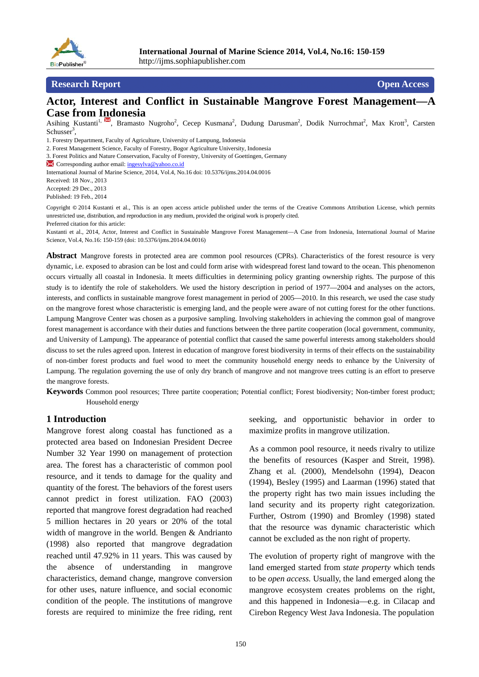

### **Research Report Contract Contract Contract Contract Contract Contract Contract Contract Contract Contract Contract Contract Contract Contract Contract Contract Contract Contract Contract Contract Contract Contract Contra**

## **Actor, Interest and Conflict in Sustainable Mangrove Forest Management—A Case from Indonesia**

Asihing Kustanti<sup>1, M</sup>, Bramasto Nugroho<sup>2</sup>, Cecep Kusmana<sup>2</sup>, Dudung Darusman<sup>2</sup>, Dodik Nurrochmat<sup>2</sup>, Max Krott<sup>3</sup>, Carsten Schusser<sup>3</sup>,

1. Forestry Department, Faculty of Agriculture, University of Lampung, Indonesia

3. Forest Politics and Nature Conservation, Faculty of Forestry, University of Goettingen, Germany

K Corresponding author email: ingesylva@yahoo.co.id

International Journal of Marine Science, 2014, Vol.4, No.16 doi: 10.5376/ijms.2014.04.0016

Received: 18 Nov., 2013

Accepted: 29 Dec., 2013

Published: 19 Feb., 2014

Copyright **©** 2014 Kustanti et al., This is an open access article published under the terms of the Creative Commons Attribution License, which permits unrestricted use, distribution, and reproduction in any medium, provided the original work is properly cited.

Preferred citation for this article:

Kustanti et al., 2014, Actor, Interest and Conflict in Sustainable Mangrove Forest Management—A Case from Indonesia, International Journal of Marine Science, Vol.4, No.16: 150-159 (doi: 10.5376/ijms.2014.04.0016)

**Abstract** Mangrove forests in protected area are common pool resources (CPRs). Characteristics of the forest resource is very dynamic, i.e. exposed to abrasion can be lost and could form arise with widespread forest land toward to the ocean. This phenomenon occurs virtually all coastal in Indonesia. It meets difficulties in determining policy granting ownership rights. The purpose of this study is to identify the role of stakeholders. We used the history description in period of 1977—2004 and analyses on the actors, interests, and conflicts in sustainable mangrove forest management in period of 2005—2010. In this research, we used the case study on the mangrove forest whose characteristic is emerging land, and the people were aware of not cutting forest for the other functions. Lampung Mangrove Center was chosen as a purposive sampling. Involving stakeholders in achieving the common goal of mangrove forest management is accordance with their duties and functions between the three partite cooperation (local government, community, and University of Lampung). The appearance of potential conflict that caused the same powerful interests among stakeholders should discuss to set the rules agreed upon. Interest in education of mangrove forest biodiversity in terms of their effects on the sustainability of non-timber forest products and fuel wood to meet the community household energy needs to enhance by the University of Lampung. The regulation governing the use of only dry branch of mangrove and not mangrove trees cutting is an effort to preserve the mangrove forests.

**Keywords** Common pool resources; Three partite cooperation; Potential conflict; Forest biodiversity; Non-timber forest product; Household energy

#### **1 Introduction**

Mangrove forest along coastal has functioned as a protected area based on Indonesian President Decree Number 32 Year 1990 on management of protection area. The forest has a characteristic of common pool resource, and it tends to damage for the quality and quantity of the forest*.* The behaviors of the forest users cannot predict in forest utilization. FAO (2003) reported that mangrove forest degradation had reached 5 million hectares in 20 years or 20% of the total width of mangrove in the world. Bengen & Andrianto (1998) also reported that mangrove degradation reached until 47.92% in 11 years. This was caused by the absence of understanding in mangrove characteristics, demand change, mangrove conversion for other uses, nature influence, and social economic condition of the people. The institutions of mangrove forests are required to minimize the free riding, rent seeking, and opportunistic behavior in order to maximize profits in mangrove utilization.

As a common pool resource, it needs rivalry to utilize the benefits of resources (Kasper and Streit, 1998). Zhang et al. (2000), Mendelsohn (1994), Deacon (1994), Besley (1995) and Laarman (1996) stated that the property right has two main issues including the land security and its property right categorization. Further, Ostrom (1990) and Bromley (1998) stated that the resource was dynamic characteristic which cannot be excluded as the non right of property.

The evolution of property right of mangrove with the land emerged started from *state property* which tends to be *open access.* Usually, the land emerged along the mangrove ecosystem creates problems on the right, and this happened in Indonesia—e.g. in Cilacap and Cirebon Regency West Java Indonesia. The population

<sup>2.</sup> Forest Management Science, Faculty of Forestry, Bogor Agriculture University, Indonesia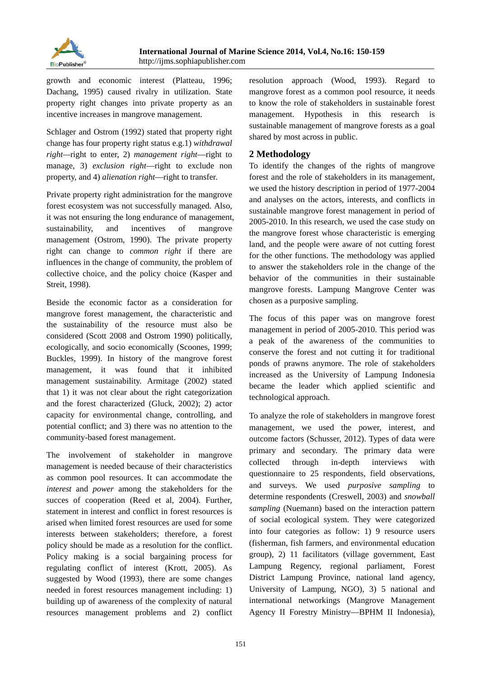

growth and economic interest (Platteau, 1996; Dachang, 1995) caused rivalry in utilization. State property right changes into private property as an incentive increases in mangrove management.

Schlager and Ostrom (1992) stated that property right change has four property right status e.g.1) *withdrawal right—*right to enter, 2) *management right*—right to manage, 3) *exclusion right*—right to exclude non property, and 4) *alienation right*—right to transfer.

Private property right administration for the mangrove forest ecosystem was not successfully managed. Also, it was not ensuring the long endurance of management, sustainability, and incentives of mangrove management (Ostrom, 1990). The private property right can change to *common right* if there are influences in the change of community, the problem of collective choice, and the policy choice (Kasper and Streit, 1998).

Beside the economic factor as a consideration for mangrove forest management, the characteristic and the sustainability of the resource must also be considered (Scott 2008 and Ostrom 1990) politically, ecologically, and socio economically (Scoones, 1999; Buckles, 1999). In history of the mangrove forest management, it was found that it inhibited management sustainability. Armitage (2002) stated that 1) it was not clear about the right categorization and the forest characterized (Gluck, 2002); 2) actor capacity for environmental change, controlling, and potential conflict; and 3) there was no attention to the community-based forest management.

The involvement of stakeholder in mangrove management is needed because of their characteristics as common pool resources. It can accommodate the *interest* and *power* among the *s*takeholders for the succes of cooperation (Reed et al, 2004). Further, statement in interest and conflict in forest resources is arised when limited forest resources are used for some interests between stakeholders; therefore, a forest policy should be made as a resolution for the conflict. Policy making is a social bargaining process for regulating conflict of interest (Krott, 2005). As suggested by Wood (1993), there are some changes needed in forest resources management including: 1) building up of awareness of the complexity of natural resources management problems and 2) conflict

resolution approach (Wood, 1993). Regard to mangrove forest as a common pool resource, it needs to know the role of stakeholders in sustainable forest management. Hypothesis in this research is sustainable management of mangrove forests as a goal shared by most across in public.

# **2 Methodology**

To identify the changes of the rights of mangrove forest and the role of stakeholders in its management, we used the history description in period of 1977-2004 and analyses on the actors, interests, and conflicts in sustainable mangrove forest management in period of 2005-2010. In this research, we used the case study on the mangrove forest whose characteristic is emerging land, and the people were aware of not cutting forest for the other functions. The methodology was applied to answer the stakeholders role in the change of the behavior of the communities in their sustainable mangrove forests. Lampung Mangrove Center was chosen as a purposive sampling.

The focus of this paper was on mangrove forest management in period of 2005-2010. This period was a peak of the awareness of the communities to conserve the forest and not cutting it for traditional ponds of prawns anymore. The role of stakeholders increased as the University of Lampung Indonesia became the leader which applied scientific and technological approach.

To analyze the role of stakeholders in mangrove forest management, we used the power, interest, and outcome factors (Schusser, 2012). Types of data were primary and secondary. The primary data were collected through in-depth interviews with questionnaire to 25 respondents, field observations, and surveys. We used *purposive sampling* to determine respondents (Creswell, 2003) and *snowball sampling* (Nuemann) based on the interaction pattern of social ecological system. They were categorized into four categories as follow: 1) 9 resource users (fisherman, fish farmers, and environmental education group), 2) 11 facilitators (village government, East Lampung Regency, regional parliament, Forest District Lampung Province, national land agency, University of Lampung, NGO), 3) 5 national and international networkings (Mangrove Management Agency II Forestry Ministry—BPHM II Indonesia),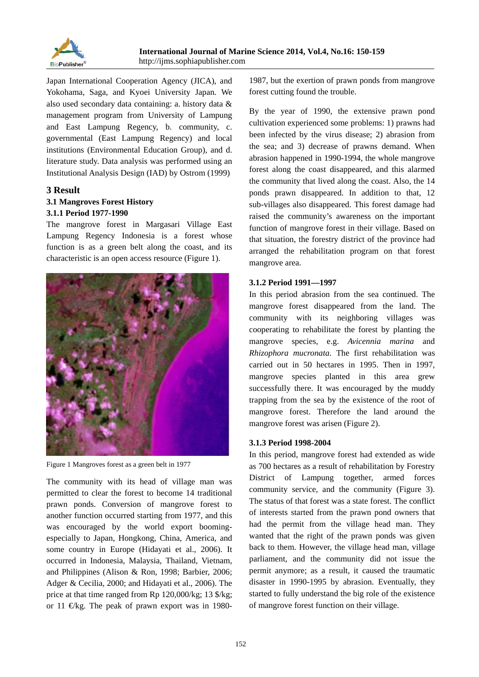

Japan International Cooperation Agency (JICA), and Yokohama, Saga, and Kyoei University Japan. We also used secondary data containing: a. history data & management program from University of Lampung and East Lampung Regency, b. community, c. governmental (East Lampung Regency) and local institutions (Environmental Education Group), and d. literature study. Data analysis was performed using an Institutional Analysis Design (IAD) by Ostrom (1999)

### **3 Result**

### **3.1 Mangroves Forest History 3.1.1 Period 1977-1990**

The mangrove forest in Margasari Village East Lampung Regency Indonesia is a forest whose function is as a green belt along the coast, and its characteristic is an open access resource (Figure 1).



Figure 1 Mangroves forest as a green belt in 1977

The community with its head of village man was permitted to clear the forest to become 14 traditional prawn ponds. Conversion of mangrove forest to another function occurred starting from 1977, and this was encouraged by the world export boomingespecially to Japan, Hongkong, China, America, and some country in Europe (Hidayati et al., 2006). It occurred in Indonesia, Malaysia, Thailand, Vietnam, and Philippines (Alison & Ron, 1998; Barbier, 2006; Adger & Cecilia, 2000; and Hidayati et al., 2006). The price at that time ranged from Rp 120,000/kg; 13 \$/kg; or 11  $\in$ kg. The peak of prawn export was in 19801987, but the exertion of prawn ponds from mangrove forest cutting found the trouble.

By the year of 1990, the extensive prawn pond cultivation experienced some problems: 1) prawns had been infected by the virus disease; 2) abrasion from the sea; and 3) decrease of prawns demand. When abrasion happened in 1990-1994, the whole mangrove forest along the coast disappeared, and this alarmed the community that lived along the coast. Also, the 14 ponds prawn disappeared. In addition to that, 12 sub-villages also disappeared. This forest damage had raised the community's awareness on the important function of mangrove forest in their village. Based on that situation, the forestry district of the province had arranged the rehabilitation program on that forest mangrove area.

### **3.1.2 Period 1991—1997**

In this period abrasion from the sea continued. The mangrove forest disappeared from the land. The community with its neighboring villages was cooperating to rehabilitate the forest by planting the mangrove species, e.g. *Avicennia marina* and *Rhizophora mucronata*. The first rehabilitation was carried out in 50 hectares in 1995. Then in 1997, mangrove species planted in this area grew successfully there. It was encouraged by the muddy trapping from the sea by the existence of the root of mangrove forest. Therefore the land around the mangrove forest was arisen (Figure 2).

### **3.1.3 Period 1998-2004**

In this period, mangrove forest had extended as wide as 700 hectares as a result of rehabilitation by Forestry District of Lampung together, armed forces community service, and the community (Figure 3). The status of that forest was a state forest. The conflict of interests started from the prawn pond owners that had the permit from the village head man. They wanted that the right of the prawn ponds was given back to them. However, the village head man, village parliament, and the community did not issue the permit anymore; as a result, it caused the traumatic disaster in 1990-1995 by abrasion. Eventually, they started to fully understand the big role of the existence of mangrove forest function on their village.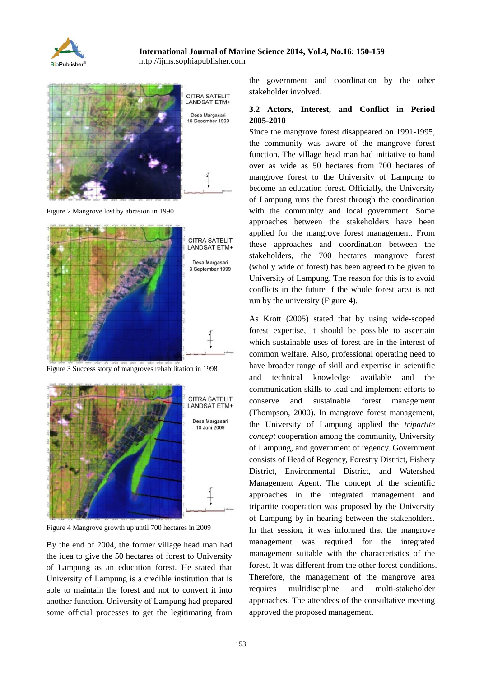



Figure 2 Mangrove lost by abrasion in 1990



Figure 3 Success story of mangroves rehabilitation in 1998



Figure 4 Mangrove growth up until 700 hectares in 2009

By the end of 2004, the former village head man had the idea to give the 50 hectares of forest to University of Lampung as an education forest. He stated that University of Lampung is a credible institution that is able to maintain the forest and not to convert it into another function. University of Lampung had prepared some official processes to get the legitimating from

the government and coordination by the other stakeholder involved.

## **3.2 Actors, Interest, and Conflict in Period 2005-2010**

Since the mangrove forest disappeared on 1991-1995, the community was aware of the mangrove forest function. The village head man had initiative to hand over as wide as 50 hectares from 700 hectares of mangrove forest to the University of Lampung to become an education forest. Officially, the University of Lampung runs the forest through the coordination with the community and local government. Some approaches between the stakeholders have been applied for the mangrove forest management. From these approaches and coordination between the stakeholders, the 700 hectares mangrove forest (wholly wide of forest) has been agreed to be given to University of Lampung. The reason for this is to avoid conflicts in the future if the whole forest area is not run by the university (Figure 4).

As Krott (2005) stated that by using wide-scoped forest expertise, it should be possible to ascertain which sustainable uses of forest are in the interest of common welfare. Also, professional operating need to have broader range of skill and expertise in scientific and technical knowledge available and the communication skills to lead and implement efforts to conserve and sustainable forest management (Thompson, 2000). In mangrove forest management, the University of Lampung applied the *tripartite concept* cooperation among the community, University of Lampung, and government of regency. Government consists of Head of Regency, Forestry District, Fishery District, Environmental District, and Watershed Management Agent. The concept of the scientific approaches in the integrated management and tripartite cooperation was proposed by the University of Lampung by in hearing between the stakeholders. In that session, it was informed that the mangrove management was required for the integrated management suitable with the characteristics of the forest. It was different from the other forest conditions. Therefore, the management of the mangrove area requires multidiscipline and multi-stakeholder approaches. The attendees of the consultative meeting approved the proposed management.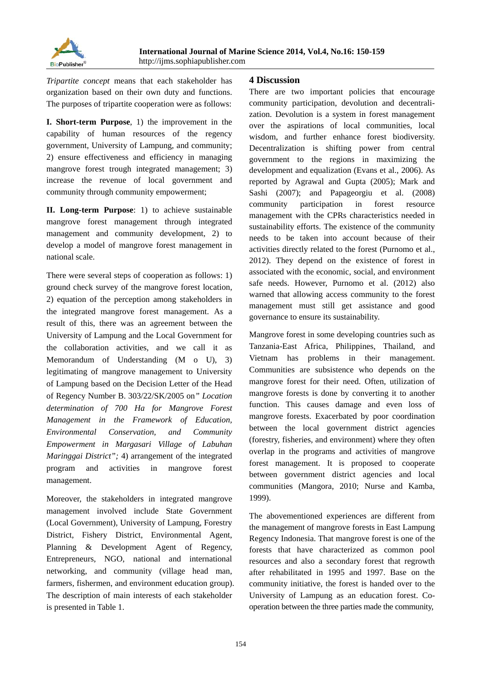*Tripartite concept* means that each stakeholder has organization based on their own duty and functions. The purposes of tripartite cooperation were as follows:

**I. Short-term Purpose**, 1) the improvement in the capability of human resources of the regency government, University of Lampung, and community; 2) ensure effectiveness and efficiency in managing mangrove forest trough integrated management; 3) increase the revenue of local government and community through community empowerment;

**II. Long-term Purpose**: 1) to achieve sustainable mangrove forest management through integrated management and community development, 2) to develop a model of mangrove forest management in national scale.

There were several steps of cooperation as follows: 1) ground check survey of the mangrove forest location, 2) equation of the perception among stakeholders in the integrated mangrove forest management. As a result of this, there was an agreement between the University of Lampung and the Local Government for the collaboration activities, and we call it as Memorandum of Understanding (M o U), 3) legitimating of mangrove management to University of Lampung based on the Decision Letter of the Head of Regency Number B. 303/22/SK/2005 on*" Location determination of 700 Ha for Mangrove Forest Management in the Framework of Education, Environmental Conservation, and Community Empowerment in Margasari Village of Labuhan Maringgai District";* 4) arrangement of the integrated program and activities in mangrove forest management.

Moreover, the stakeholders in integrated mangrove management involved include State Government (Local Government), University of Lampung, Forestry District, Fishery District, Environmental Agent, Planning & Development Agent of Regency, Entrepreneurs, NGO, national and international networking, and community (village head man, farmers, fishermen, and environment education group). The description of main interests of each stakeholder is presented in Table 1.

# **4 Discussion**

There are two important policies that encourage community participation, devolution and decentralization. Devolution is a system in forest management over the aspirations of local communities, local wisdom, and further enhance forest biodiversity. Decentralization is shifting power from central government to the regions in maximizing the development and equalization (Evans et al., 2006). As reported by Agrawal and Gupta (2005); Mark and Sashi (2007); and Papageorgiu et al. (2008) community participation in forest resource management with the CPRs characteristics needed in sustainability efforts. The existence of the community needs to be taken into account because of their activities directly related to the forest (Purnomo et al., 2012). They depend on the existence of forest in associated with the economic, social, and environment safe needs. However, Purnomo et al. (2012) also warned that allowing access community to the forest management must still get assistance and good governance to ensure its sustainability.

Mangrove forest in some developing countries such as Tanzania-East Africa, Philippines, Thailand, and Vietnam has problems in their management. Communities are subsistence who depends on the mangrove forest for their need. Often, utilization of mangrove forests is done by converting it to another function. This causes damage and even loss of mangrove forests. Exacerbated by poor coordination between the local government district agencies (forestry, fisheries, and environment) where they often overlap in the programs and activities of mangrove forest management. It is proposed to cooperate between government district agencies and local communities (Mangora, 2010; Nurse and Kamba, 1999).

The abovementioned experiences are different from the management of mangrove forests in East Lampung Regency Indonesia. That mangrove forest is one of the forests that have characterized as common pool resources and also a secondary forest that regrowth after rehabilitated in 1995 and 1997. Base on the community initiative, the forest is handed over to the University of Lampung as an education forest. Cooperation between the three parties made the community,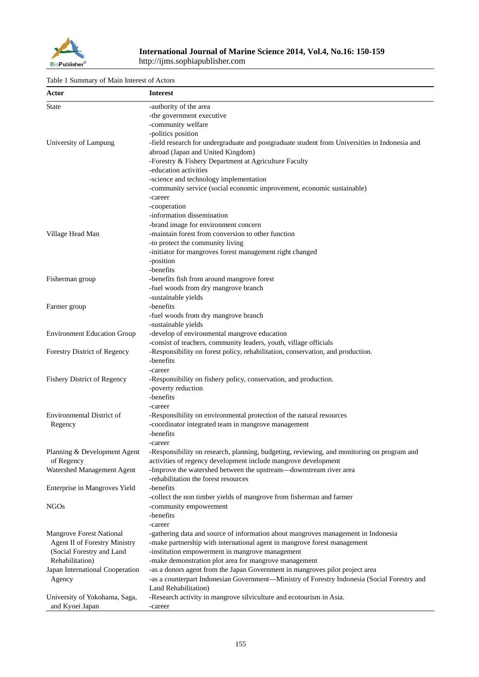

#### Table 1 Summary of Main Interest of Actors

| Actor                                | <b>Interest</b>                                                                               |
|--------------------------------------|-----------------------------------------------------------------------------------------------|
| <b>State</b>                         | -authority of the area                                                                        |
|                                      | -the government executive                                                                     |
|                                      | -community welfare                                                                            |
|                                      | -politics position                                                                            |
| University of Lampung                | -field research for undergraduate and postgraduate student from Universities in Indonesia and |
|                                      | abroad (Japan and United Kingdom)                                                             |
|                                      | -Forestry & Fishery Department at Agriculture Faculty                                         |
|                                      | -education activities                                                                         |
|                                      | -science and technology implementation                                                        |
|                                      | -community service (social economic improvement, economic sustainable)                        |
|                                      | -career                                                                                       |
|                                      | -cooperation                                                                                  |
|                                      | -information dissemination                                                                    |
|                                      | -brand image for environment concern                                                          |
| Village Head Man                     | -maintain forest from conversion to other function                                            |
|                                      | -to protect the community living                                                              |
|                                      | -initiator for mangroves forest management right changed                                      |
|                                      | -position                                                                                     |
|                                      | -benefits                                                                                     |
| Fisherman group                      | -benefits fish from around mangrove forest                                                    |
|                                      | -fuel woods from dry mangrove branch                                                          |
|                                      | -sustainable yields                                                                           |
| Farmer group                         | -benefits                                                                                     |
|                                      | -fuel woods from dry mangrove branch                                                          |
|                                      | -sustainable yields                                                                           |
| <b>Environment Education Group</b>   | -develop of environmental mangrove education                                                  |
|                                      | -consist of teachers, community leaders, youth, village officials                             |
| <b>Forestry District of Regency</b>  | -Responsibility on forest policy, rehabilitation, conservation, and production.               |
|                                      | -benefits                                                                                     |
|                                      | -career                                                                                       |
| <b>Fishery District of Regency</b>   | -Responsibility on fishery policy, conservation, and production.                              |
|                                      | -poverty reduction                                                                            |
|                                      | -benefits                                                                                     |
|                                      | -career                                                                                       |
| Environmental District of            | -Responsibility on environmental protection of the natural resources                          |
| Regency                              | -coordinator integrated team in mangrove management                                           |
|                                      | -benefits                                                                                     |
|                                      | -career                                                                                       |
| Planning & Development Agent         | -Responsibility on research, planning, budgeting, reviewing, and monitoring on program and    |
| of Regency                           | activities of regency development include mangrove development                                |
| Watershed Management Agent           | -Improve the watershed between the upstream-downstream river area                             |
|                                      | -rehabilitation the forest resources                                                          |
| Enterprise in Mangroves Yield        | -benefits                                                                                     |
|                                      | -collect the non timber yields of mangrove from fisherman and farmer                          |
| <b>NGOs</b>                          | -community empowerment                                                                        |
|                                      | -benefits                                                                                     |
|                                      | -career                                                                                       |
| <b>Mangrove Forest National</b>      | -gathering data and source of information about mangroves management in Indonesia             |
| <b>Agent II of Forestry Ministry</b> | -make partnership with international agent in mangrove forest management                      |
| (Social Forestry and Land            | -institution empowerment in mangrove management                                               |
| Rehabilitation)                      | -make demonstration plot area for mangrove management                                         |
| Japan International Cooperation      | -as a donors agent from the Japan Government in mangroves pilot project area                  |
| Agency                               | -as a counterpart Indonesian Government-Ministry of Forestry Indonesia (Social Forestry and   |
|                                      | Land Rehabilitation)                                                                          |
| University of Yokohama, Saga,        | -Research activity in mangrove silviculture and ecotourism in Asia.                           |
| and Kyoei Japan                      | -career                                                                                       |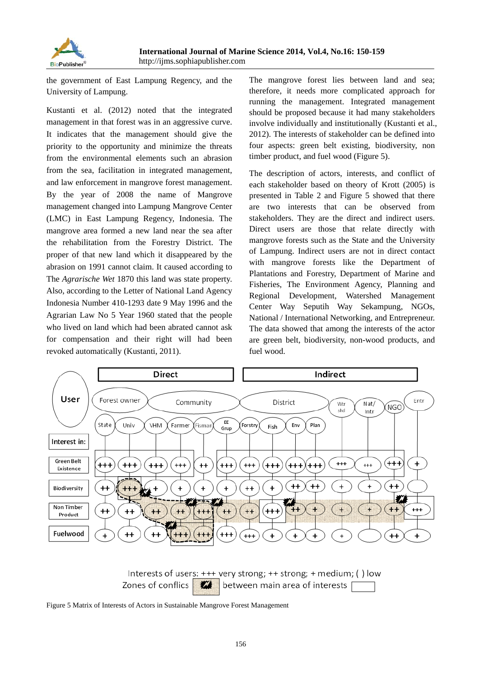

the government of East Lampung Regency, and the University of Lampung.

Kustanti et al. (2012) noted that the integrated management in that forest was in an aggressive curve. It indicates that the management should give the priority to the opportunity and minimize the threats from the environmental elements such an abrasion from the sea, facilitation in integrated management, and law enforcement in mangrove forest management. By the year of 2008 the name of Mangrove management changed into Lampung Mangrove Center (LMC) in East Lampung Regency, Indonesia. The mangrove area formed a new land near the sea after the rehabilitation from the Forestry District. The proper of that new land which it disappeared by the abrasion on 1991 cannot claim. It caused according to The *Agrarische Wet* 1870 this land was state property. Also, according to the Letter of National Land Agency Indonesia Number 410-1293 date 9 May 1996 and the Agrarian Law No 5 Year 1960 stated that the people who lived on land which had been abrated cannot ask for compensation and their right will had been revoked automatically (Kustanti, 2011).

The mangrove forest lies between land and sea; therefore, it needs more complicated approach for running the management. Integrated management should be proposed because it had many stakeholders involve individually and institutionally (Kustanti et al., 2012). The interests of stakeholder can be defined into four aspects: green belt existing, biodiversity, non timber product, and fuel wood (Figure 5).

The description of actors, interests, and conflict of each stakeholder based on theory of Krott (2005) is presented in Table 2 and Figure 5 showed that there are two interests that can be observed from stakeholders. They are the direct and indirect users. Direct users are those that relate directly with mangrove forests such as the State and the University of Lampung. Indirect users are not in direct contact with mangrove forests like the Department of Plantations and Forestry, Department of Marine and Fisheries, The Environment Agency, Planning and Regional Development, Watershed Management Center Way Seputih Way Sekampung, NGOs, National / International Networking, and Entrepreneur. The data showed that among the interests of the actor are green belt, biodiversity, non-wood products, and fuel wood.



Interests of users:  $+++$  very strong;  $++$  strong;  $+$  medium; () low Zones of conflics  $\boldsymbol{u}$ between main area of interests |

Figure 5 Matrix of Interests of Actors in Sustainable Mangrove Forest Management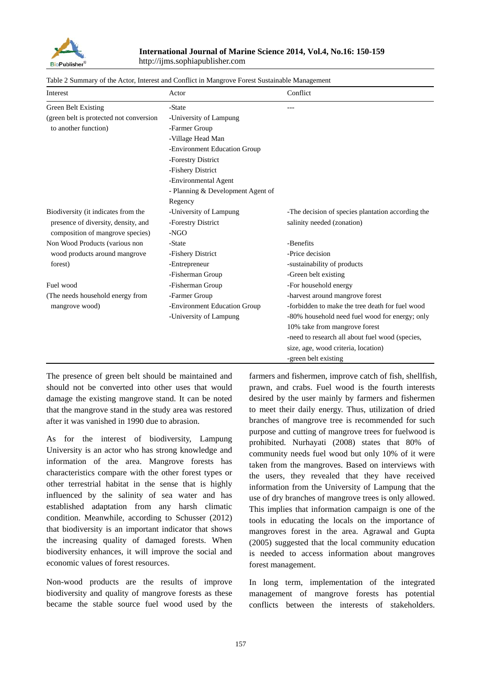

| Interest                                           | Actor                             | Conflict                                          |
|----------------------------------------------------|-----------------------------------|---------------------------------------------------|
| Green Belt Existing                                | -State                            |                                                   |
| (green belt is protected not conversion            | -University of Lampung            |                                                   |
| to another function)                               | -Farmer Group                     |                                                   |
|                                                    | -Village Head Man                 |                                                   |
|                                                    | -Environment Education Group      |                                                   |
|                                                    | -Forestry District                |                                                   |
|                                                    | -Fishery District                 |                                                   |
|                                                    | -Environmental Agent              |                                                   |
|                                                    | - Planning & Development Agent of |                                                   |
|                                                    | Regency                           |                                                   |
| Biodiversity (it indicates from the                | -University of Lampung            | -The decision of species plantation according the |
| presence of diversity, density, and                | -Forestry District                | salinity needed (zonation)                        |
| composition of mangrove species)                   | $-NGO$                            |                                                   |
| Non Wood Products (various non                     | -State                            | -Benefits                                         |
| wood products around mangrove<br>forest)           | -Fishery District                 | -Price decision                                   |
|                                                    | -Entrepreneur                     | -sustainability of products                       |
|                                                    | -Fisherman Group                  | -Green belt existing                              |
| Fuel wood                                          | -Fisherman Group                  | -For household energy                             |
| (The needs household energy from<br>mangrove wood) | -Farmer Group                     | -harvest around mangrove forest                   |
|                                                    | -Environment Education Group      | -forbidden to make the tree death for fuel wood   |
|                                                    | -University of Lampung            | -80% household need fuel wood for energy; only    |
|                                                    |                                   | 10% take from mangrove forest                     |
|                                                    |                                   | -need to research all about fuel wood (species,   |
|                                                    |                                   | size, age, wood criteria, location)               |
|                                                    |                                   | -green belt existing                              |

|  | Table 2 Summary of the Actor, Interest and Conflict in Mangrove Forest Sustainable Management |
|--|-----------------------------------------------------------------------------------------------|
|--|-----------------------------------------------------------------------------------------------|

The presence of green belt should be maintained and should not be converted into other uses that would damage the existing mangrove stand. It can be noted that the mangrove stand in the study area was restored after it was vanished in 1990 due to abrasion.

As for the interest of biodiversity, Lampung University is an actor who has strong knowledge and information of the area. Mangrove forests has characteristics compare with the other forest types or other terrestrial habitat in the sense that is highly influenced by the salinity of sea water and has established adaptation from any harsh climatic condition. Meanwhile, according to Schusser (2012) that biodiversity is an important indicator that shows the increasing quality of damaged forests. When biodiversity enhances, it will improve the social and economic values of forest resources.

Non-wood products are the results of improve biodiversity and quality of mangrove forests as these became the stable source fuel wood used by the farmers and fishermen, improve catch of fish, shellfish, prawn, and crabs. Fuel wood is the fourth interests desired by the user mainly by farmers and fishermen to meet their daily energy. Thus, utilization of dried branches of mangrove tree is recommended for such purpose and cutting of mangrove trees for fuelwood is prohibited. Nurhayati (2008) states that 80% of community needs fuel wood but only 10% of it were taken from the mangroves. Based on interviews with the users, they revealed that they have received information from the University of Lampung that the use of dry branches of mangrove trees is only allowed. This implies that information campaign is one of the tools in educating the locals on the importance of mangroves forest in the area. Agrawal and Gupta (2005) suggested that the local community education is needed to access information about mangroves forest management.

In long term, implementation of the integrated management of mangrove forests has potential conflicts between the interests of stakeholders.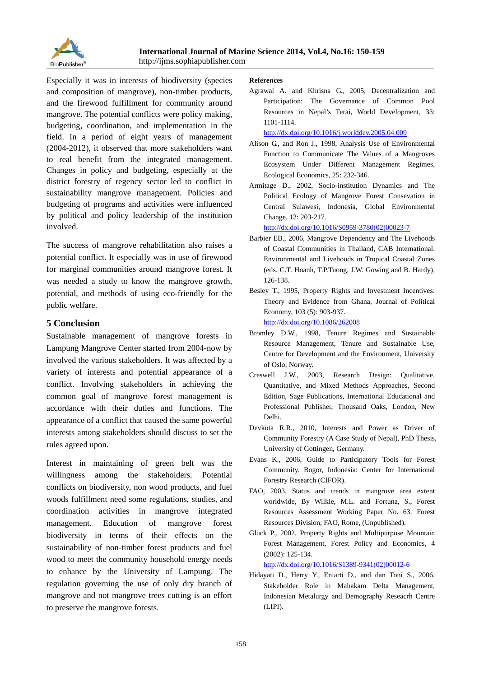

Especially it was in interests of biodiversity (species and composition of mangrove), non-timber products, and the firewood fulfillment for community around mangrove. The potential conflicts were policy making, budgeting, coordination, and implementation in the field. In a period of eight years of management (2004-2012), it observed that more stakeholders want to real benefit from the integrated management. Changes in policy and budgeting, especially at the district forestry of regency sector led to conflict in sustainability mangrove management. Policies and budgeting of programs and activities were influenced by political and policy leadership of the institution involved.

The success of mangrove rehabilitation also raises a potential conflict. It especially was in use of firewood for marginal communities around mangrove forest. It was needed a study to know the mangrove growth, potential, and methods of using eco-friendly for the public welfare.

## **5 Conclusion**

Sustainable management of mangrove forests in Lampung Mangrove Center started from 2004-now by involved the various stakeholders. It was affected by a variety of interests and potential appearance of a conflict. Involving stakeholders in achieving the common goal of mangrove forest management is accordance with their duties and functions. The appearance of a conflict that caused the same powerful interests among stakeholders should discuss to set the rules agreed upon.

Interest in maintaining of green belt was the willingness among the stakeholders. Potential conflicts on biodiversity, non wood products, and fuel woods fulfillment need some regulations, studies, and coordination activities in mangrove integrated management. Education of mangrove forest biodiversity in terms of their effects on the sustainability of non-timber forest products and fuel wood to meet the community household energy needs to enhance by the University of Lampung. The regulation governing the use of only dry branch of mangrove and not mangrove trees cutting is an effort to preserve the mangrove forests.

#### **References**

Agrawal A. and Khrisna G., 2005, Decentralization and Participation: The Governance of Common Pool Resources in Nepal's Terai, World Development, 33: 1101-1114.

http://dx.doi.org/10.1016/j.worlddev.2005.04.009

- Alison G., and Ron J., 1998, Analysis Use of Environmental Function to Communicate The Values of a Mangroves Ecosystem Under Different Management Regimes, Ecological Economics, 25: 232-346.
- Armitage D., 2002, Socio-institution Dynamics and The Political Ecology of Mangrove Forest Consevation in Central Sulawesi, Indonesia, Global Environmental Change, 12: 203-217.

http://dx.doi.org/10.1016/S0959-3780(02)00023-7

- Barbier EB., 2006, Mangrove Dependency and The Livehoods of Coastal Communities in Thailand, CAB International. Environmental and Livehoods in Tropical Coastal Zones (eds. C.T. Hoanh, T.P.Tuong, J.W. Gowing and B. Hardy), 126-138.
- Besley T., 1995, Property Rights and Investment Incentives: Theory and Evidence from Ghana, Journal of Political Economy, 103 (5): 903-937.

http://dx.doi.org/10.1086/262008

- Bromley D.W., 1998, Tenure Regimes and Sustainable Resource Management, Tenure and Sustainable Use, Centre for Development and the Environment, University of Oslo, Norway.
- Creswell J.W., 2003, Research Design: Qualitative, Quantitative, and Mixed Methods Approaches, Second Edition, Sage Publications, International Educational and Professional Publisher, Thousand Oaks, London, New Delhi.
- Devkota R.R., 2010, Interests and Power as Driver of Community Forestry (A Case Study of Nepal), PhD Thesis, University of Gottingen, Germany.
- Evans K., 2006, Guide to Participatory Tools for Forest Community. Bogor, Indonesia: Center for International Forestry Research (CIFOR).
- FAO, 2003, Status and trends in mangrove area extent worldwide, By Wilkie, M.L. and Fortuna, S., Forest Resources Assessment Working Paper No. 63. Forest Resources Division, FAO, Rome, (Unpublished).
- Gluck P., 2002, Property Rights and Multipurpose Mountain Forest Management, Forest Policy and Economics, 4 (2002): 125-134.

http://dx.doi.org/10.1016/S1389-9341(02)00012-6

Hidayati D., Herry Y., Eniarti D., and dan Toni S., 2006, Stakeholder Role in Mahakam Delta Management, Indonesian Metalurgy and Demography Reseacrh Centre (LIPI).